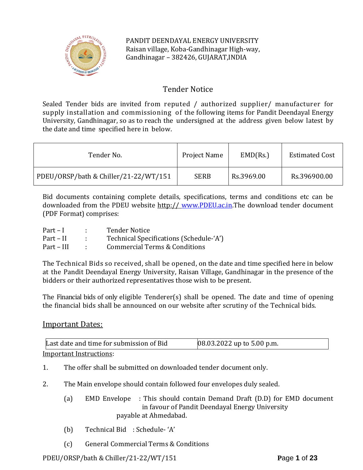

PANDIT DEENDAYAL ENERGY UNIVERSITY Raisan village, Koba-Gandhinagar High-way, Gandhinagar – 382426, GUJARAT,INDIA

# Tender Notice

Sealed Tender bids are invited from reputed / authorized supplier/ manufacturer for supply installation and commissioning of the following items for Pandit Deendayal Energy University, Gandhinagar, so as to reach the undersigned at the address given below latest by the date and time specified here in below.

| Tender No.                            | <b>Project Name</b> | EMD(Rs.)   | <b>Estimated Cost</b> |
|---------------------------------------|---------------------|------------|-----------------------|
| PDEU/ORSP/bath & Chiller/21-22/WT/151 | <b>SERB</b>         | Rs.3969.00 | Rs.396900.00          |

Bid documents containing complete details, specifications, terms and conditions etc can be downloaded from the PDEU website http:// [www.PDEU.ac.in.](http://www.pdpu.ac.in/)The download tender document (PDF Format) comprises:

| $Part-I$   | <b>Tender Notice</b>                    |
|------------|-----------------------------------------|
| Part – II  | Technical Specifications (Schedule-'A') |
| Part – III | Commercial Terms & Conditions           |

The Technical Bids so received, shall be opened, on the date and time specified here in below at the Pandit Deendayal Energy University, Raisan Village, Gandhinagar in the presence of the bidders or their authorized representatives those wish to be present.

The Financial bids of only eligible Tenderer(s) shall be opened. The date and time of opening the financial bids shall be announced on our website after scrutiny of the Technical bids.

# Important Dates:

| Last date and time for submission of Bid | $08.03.2022$ up to 5.00 p.m. |
|------------------------------------------|------------------------------|
| Important Instructions:                  |                              |

Important Instructions:

- 1. The offer shall be submitted on downloaded tender document only.
- 2. The Main envelope should contain followed four envelopes duly sealed.
	- (a) EMD Envelope : This should contain Demand Draft (D.D) for EMD document in favour of Pandit Deendayal Energy University payable at Ahmedabad.
	- (b) Technical Bid : Schedule- 'A'
	- (c) General Commercial Terms & Conditions

PDEU/ORSP/bath & Chiller/21-22/WT/151 **P**age **1** of **23**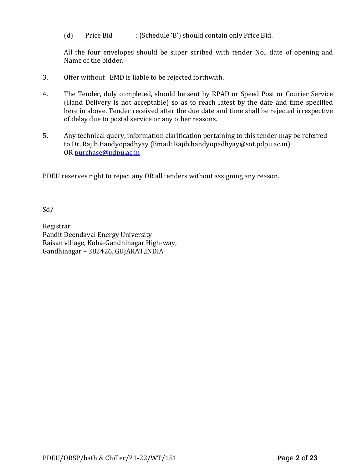(d) Price Bid : (Schedule 'B') should contain only Price Bid.

All the four envelopes should be super scribed with tender No., date of opening and Name of the bidder.

- 3. Offer without EMD is liable to be rejected forthwith.
- 4. The Tender, duly completed, should be sent by RPAD or Speed Post or Courier Service (Hand Delivery is not acceptable) so as to reach latest by the date and time specified here in above. Tender received after the due date and time shall be rejected irrespective of delay due to postal service or any other reasons.
- 5. Any technical query, information clarification pertaining to this tender may be referred to Dr. Rajib Bandyopadhyay (Email: Rajib.bandyopadhyay@sot.pdpu.ac.in) OR [purchase@pdpu.ac.in](mailto:purchase@pdpu.ac.in)

PDEU reserves right to reject any OR all tenders without assigning any reason.

Sd/-

Registrar Pandit Deendayal Energy University Raisan village, Koba-Gandhinagar High-way, Gandhinagar – 382426, GUJARAT,INDIA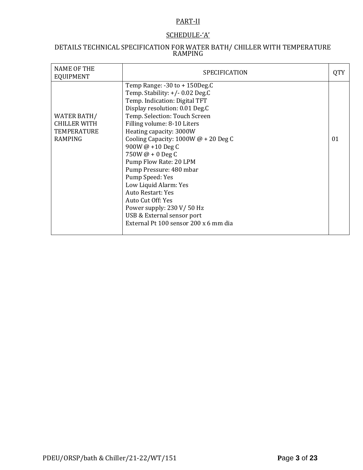# PART-II

# SCHEDULE-'A'

#### DETAILS TECHNICAL SPECIFICATION FOR WATER BATH/ CHILLER WITH TEMPERATURE RAMPING

| <b>NAME OF THE</b><br><b>EQUIPMENT</b>                                     | <b>SPECIFICATION</b>                                                                                                                                                                                                                                                                                                                             | <b>QTY</b> |
|----------------------------------------------------------------------------|--------------------------------------------------------------------------------------------------------------------------------------------------------------------------------------------------------------------------------------------------------------------------------------------------------------------------------------------------|------------|
| WATER BATH/<br><b>CHILLER WITH</b><br><b>TEMPERATURE</b><br><b>RAMPING</b> | Temp Range: $-30$ to $+150$ Deg.C<br>Temp. Stability: $+/-$ 0.02 Deg.C<br>Temp. Indication: Digital TFT<br>Display resolution: 0.01 Deg.C<br>Temp. Selection: Touch Screen<br>Filling volume: 8-10 Liters<br>Heating capacity: 3000W<br>Cooling Capacity: $1000W @ + 20$ Deg C<br>900W @ +10 Deg C<br>750W @ + 0 Deg C<br>Pump Flow Rate: 20 LPM | 01         |
|                                                                            | Pump Pressure: 480 mbar<br>Pump Speed: Yes<br>Low Liquid Alarm: Yes<br><b>Auto Restart: Yes</b><br>Auto Cut Off: Yes<br>Power supply: 230 V/50 Hz<br>USB & External sensor port<br>External Pt 100 sensor 200 x 6 mm dia                                                                                                                         |            |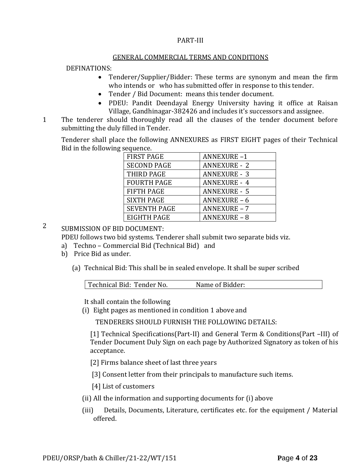# PART-III

#### GENERAL COMMERCIAL TERMS AND CONDITIONS

# DEFINATIONS:

- Tenderer/Supplier/Bidder: These terms are synonym and mean the firm who intends or who has submitted offer in response to this tender.
- Tender / Bid Document: means this tender document.
- PDEU: Pandit Deendayal Energy University having it office at Raisan Village, Gandhinagar-382426 and includes it's successors and assignee.
- 1 The tenderer should thoroughly read all the clauses of the tender document before submitting the duly filled in Tender.

Tenderer shall place the following ANNEXURES as FIRST EIGHT pages of their Technical Bid in the following sequence.

| <b>FIRST PAGE</b>   | <b>ANNEXURE-1</b>   |
|---------------------|---------------------|
| <b>SECOND PAGE</b>  | <b>ANNEXURE - 2</b> |
| THIRD PAGE          | <b>ANNEXURE - 3</b> |
| <b>FOURTH PAGE</b>  | <b>ANNEXURE - 4</b> |
| <b>FIFTH PAGE</b>   | <b>ANNEXURE - 5</b> |
| <b>SIXTH PAGE</b>   | <b>ANNEXURE - 6</b> |
| <b>SEVENTH PAGE</b> | <b>ANNEXURE - 7</b> |
| EIGHTH PAGE         | <b>ANNEXURE - 8</b> |

2 SUBMISSION OF BID DOCUMENT:

PDEU follows two bid systems. Tenderer shall submit two separate bids viz.

- a) Techno Commercial Bid (Technical Bid) and
- b) Price Bid as under.
	- (a) Technical Bid: This shall be in sealed envelope. It shall be super scribed

| Technical Bid: Tender No. | Name of Bidder: |  |
|---------------------------|-----------------|--|
|                           |                 |  |

It shall contain the following

(i) Eight pages as mentioned in condition 1 above and

TENDERERS SHOULD FURNISH THE FOLLOWING DETAILS:

[1] Technical Specifications(Part-II) and General Term & Conditions(Part –III) of Tender Document Duly Sign on each page by Authorized Signatory as token of his acceptance.

[2] Firms balance sheet of last three years

[3] Consent letter from their principals to manufacture such items.

[4] List of customers

- (ii) All the information and supporting documents for (i) above
- (iii) Details, Documents, Literature, certificates etc. for the equipment / Material offered.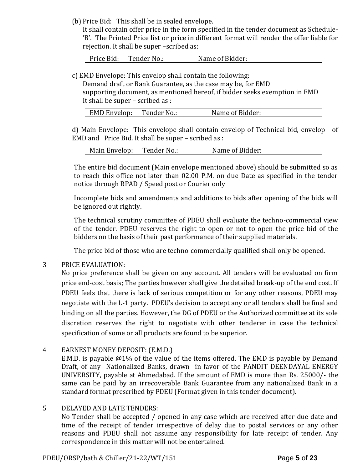(b) Price Bid: This shall be in sealed envelope.

It shall contain offer price in the form specified in the tender document as Schedule- 'B'. The Printed Price list or price in different format will render the offer liable for rejection. It shall be super –scribed as:

Price Bid: Tender No.: Name of Bidder:

c) EMD Envelope: This envelop shall contain the following:

Demand draft or Bank Guarantee, as the case may be, for EMD supporting document, as mentioned hereof, if bidder seeks exemption in EMD It shall be super – scribed as :

| EMD Envelop: | Tender No.: | Name of Bidder: |
|--------------|-------------|-----------------|
|              |             |                 |

d) Main Envelope: This envelope shall contain envelop of Technical bid, envelop of EMD and Price Bid. It shall be super – scribed as :

| Main Envelop: | Tender No.: | Name of Bidder: |
|---------------|-------------|-----------------|
|---------------|-------------|-----------------|

The entire bid document (Main envelope mentioned above) should be submitted so as to reach this office not later than 02.00 P.M. on due Date as specified in the tender notice through RPAD / Speed post or Courier only

Incomplete bids and amendments and additions to bids after opening of the bids will be ignored out rightly.

The technical scrutiny committee of PDEU shall evaluate the techno-commercial view of the tender. PDEU reserves the right to open or not to open the price bid of the bidders on the basis of their past performance of their supplied materials.

The price bid of those who are techno-commercially qualified shall only be opened.

# 3 PRICE EVALUATION:

No price preference shall be given on any account. All tenders will be evaluated on firm price end-cost basis; The parties however shall give the detailed break-up of the end cost. If PDEU feels that there is lack of serious competition or for any other reasons, PDEU may negotiate with the L-1 party. PDEU's decision to accept any or all tenders shall be final and binding on all the parties. However, the DG of PDEU or the Authorized committee at its sole discretion reserves the right to negotiate with other tenderer in case the technical specification of some or all products are found to be superior.

4 EARNEST MONEY DEPOSIT: (E.M.D.)

E.M.D. is payable @1% of the value of the items offered. The EMD is payable by Demand Draft, of any Nationalized Banks, drawn in favor of the PANDIT DEENDAYAL ENERGY UNIVERSITY, payable at Ahmedabad. If the amount of EMD is more than Rs. 25000/- the same can be paid by an irrecoverable Bank Guarantee from any nationalized Bank in a standard format prescribed by PDEU (Format given in this tender document).

# 5 DELAYED AND LATE TENDERS:

No Tender shall be accepted / opened in any case which are received after due date and time of the receipt of tender irrespective of delay due to postal services or any other reasons and PDEU shall not assume any responsibility for late receipt of tender. Any correspondence in this matter will not be entertained.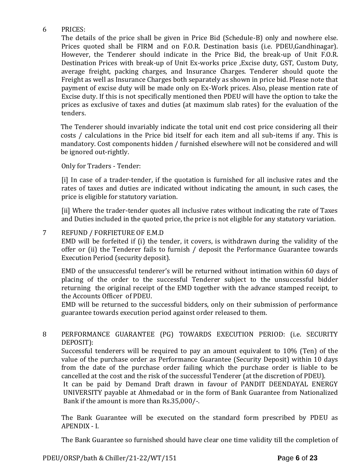# 6 PRICES:

The details of the price shall be given in Price Bid (Schedule-B) only and nowhere else. Prices quoted shall be FIRM and on F.O.R. Destination basis (i.e. PDEU,Gandhinagar). However, the Tenderer should indicate in the Price Bid, the break-up of Unit F.O.R. Destination Prices with break-up of Unit Ex-works price ,Excise duty, GST, Custom Duty, average freight, packing charges, and Insurance Charges. Tenderer should quote the Freight as well as Insurance Charges both separately as shown in price bid. Please note that payment of excise duty will be made only on Ex-Work prices. Also, please mention rate of Excise duty. If this is not specifically mentioned then PDEU will have the option to take the prices as exclusive of taxes and duties (at maximum slab rates) for the evaluation of the tenders.

The Tenderer should invariably indicate the total unit end cost price considering all their costs / calculations in the Price bid itself for each item and all sub-items if any. This is mandatory. Cost components hidden / furnished elsewhere will not be considered and will be ignored out-rightly.

Only for Traders - Tender:

[i] In case of a trader-tender, if the quotation is furnished for all inclusive rates and the rates of taxes and duties are indicated without indicating the amount, in such cases, the price is eligible for statutory variation.

[ii] Where the trader-tender quotes all inclusive rates without indicating the rate of Taxes and Duties included in the quoted price, the price is not eligible for any statutory variation.

# 7 REFUND / FORFIETURE OF E.M.D

EMD will be forfeited if (i) the tender, it covers, is withdrawn during the validity of the offer or (ii) the Tenderer fails to furnish / deposit the Performance Guarantee towards Execution Period (security deposit).

EMD of the unsuccessful tenderer's will be returned without intimation within 60 days of placing of the order to the successful Tenderer subject to the unsuccessful bidder returning the original receipt of the EMD together with the advance stamped receipt, to the Accounts Officer of PDEU.

EMD will be returned to the successful bidders, only on their submission of performance guarantee towards execution period against order released to them.

# 8 PERFORMANCE GUARANTEE (PG) TOWARDS EXECUTION PERIOD: (i.e. SECURITY DEPOSIT):

Successful tenderers will be required to pay an amount equivalent to 10% (Ten) of the value of the purchase order as Performance Guarantee (Security Deposit) within 10 days from the date of the purchase order failing which the purchase order is liable to be cancelled at the cost and the risk of the successful Tenderer (at the discretion of PDEU).

It can be paid by Demand Draft drawn in favour of PANDIT DEENDAYAL ENERGY UNIVERSITY payable at Ahmedabad or in the form of Bank Guarantee from Nationalized Bank if the amount is more than Rs.35,000/-.

The Bank Guarantee will be executed on the standard form prescribed by PDEU as APENDIX - I.

The Bank Guarantee so furnished should have clear one time validity till the completion of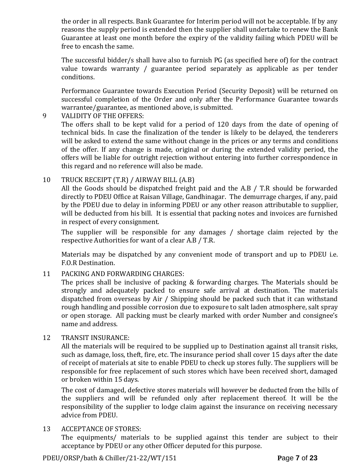the order in all respects. Bank Guarantee for Interim period will not be acceptable. If by any reasons the supply period is extended then the supplier shall undertake to renew the Bank Guarantee at least one month before the expiry of the validity failing which PDEU will be free to encash the same.

The successful bidder/s shall have also to furnish PG (as specified here of) for the contract value towards warranty / guarantee period separately as applicable as per tender conditions.

Performance Guarantee towards Execution Period (Security Deposit) will be returned on successful completion of the Order and only after the Performance Guarantee towards warrantee/guarantee, as mentioned above, is submitted.

# 9 VALIDITY OF THE OFFERS:

The offers shall to be kept valid for a period of 120 days from the date of opening of technical bids. In case the finalization of the tender is likely to be delayed, the tenderers will be asked to extend the same without change in the prices or any terms and conditions of the offer. If any change is made, original or during the extended validity period, the offers will be liable for outright rejection without entering into further correspondence in this regard and no reference will also be made.

# 10 TRUCK RECEIPT (T.R) / AIRWAY BILL (A.B)

All the Goods should be dispatched freight paid and the A.B / T.R should be forwarded directly to PDEU Office at Raisan Village, Gandhinagar. The demurrage charges, if any, paid by the PDEU due to delay in informing PDEU or any other reason attributable to supplier, will be deducted from his bill. It is essential that packing notes and invoices are furnished in respect of every consignment.

The supplier will be responsible for any damages / shortage claim rejected by the respective Authorities for want of a clear A.B / T.R.

Materials may be dispatched by any convenient mode of transport and up to PDEU i.e. F.O.R Destination.

# 11 PACKING AND FORWARDING CHARGES:

The prices shall be inclusive of packing & forwarding charges. The Materials should be strongly and adequately packed to ensure safe arrival at destination. The materials dispatched from overseas by Air / Shipping should be packed such that it can withstand rough handling and possible corrosion due to exposure to salt laden atmosphere, salt spray or open storage. All packing must be clearly marked with order Number and consignee's name and address.

# 12 TRANSIT INSURANCE:

All the materials will be required to be supplied up to Destination against all transit risks, such as damage, loss, theft, fire, etc. The insurance period shall cover 15 days after the date of receipt of materials at site to enable PDEU to check up stores fully. The suppliers will be responsible for free replacement of such stores which have been received short, damaged or broken within 15 days.

The cost of damaged, defective stores materials will however be deducted from the bills of the suppliers and will be refunded only after replacement thereof. It will be the responsibility of the supplier to lodge claim against the insurance on receiving necessary advice from PDEU.

# 13 ACCEPTANCE OF STORES:

The equipments/ materials to be supplied against this tender are subject to their acceptance by PDEU or any other Officer deputed for this purpose.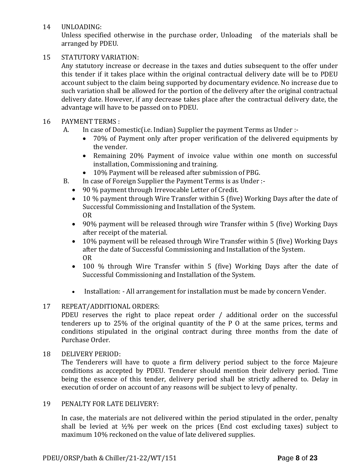14 UNLOADING:

Unless specified otherwise in the purchase order, Unloading of the materials shall be arranged by PDEU.

# 15 STATUTORY VARIATION:

Any statutory increase or decrease in the taxes and duties subsequent to the offer under this tender if it takes place within the original contractual delivery date will be to PDEU account subject to the claim being supported by documentary evidence. No increase due to such variation shall be allowed for the portion of the delivery after the original contractual delivery date. However, if any decrease takes place after the contractual delivery date, the advantage will have to be passed on to PDEU.

# 16 PAYMENT TERMS :

- A. In case of Domestic(i.e. Indian) Supplier the payment Terms as Under :-
	- 70% of Payment only after proper verification of the delivered equipments by the vender.
	- Remaining 20% Payment of invoice value within one month on successful installation, Commissioning and training.
	- 10% Payment will be released after submission of PBG.
- B. In case of Foreign Supplier the Payment Terms is as Under :-
	- 90 % payment through Irrevocable Letter of Credit.
	- 10 % payment through Wire Transfer within 5 (five) Working Days after the date of Successful Commissioning and Installation of the System. OR
	- 90% payment will be released through wire Transfer within 5 (five) Working Days after receipt of the material.
	- 10% payment will be released through Wire Transfer within 5 (five) Working Days after the date of Successful Commissioning and Installation of the System. OR
	- 100 % through Wire Transfer within 5 (five) Working Days after the date of Successful Commissioning and Installation of the System.
	- Installation: All arrangement for installation must be made by concern Vender.

# 17 REPEAT/ADDITIONAL ORDERS:

PDEU reserves the right to place repeat order / additional order on the successful tenderers up to 25% of the original quantity of the P O at the same prices, terms and conditions stipulated in the original contract during three months from the date of Purchase Order.

# 18 DELIVERY PERIOD:

The Tenderers will have to quote a firm delivery period subject to the force Majeure conditions as accepted by PDEU. Tenderer should mention their delivery period. Time being the essence of this tender, delivery period shall be strictly adhered to. Delay in execution of order on account of any reasons will be subject to levy of penalty.

# 19 PENALTY FOR LATE DELIVERY:

In case, the materials are not delivered within the period stipulated in the order, penalty shall be levied at  $\frac{1}{2}\%$  per week on the prices (End cost excluding taxes) subject to maximum 10% reckoned on the value of late delivered supplies.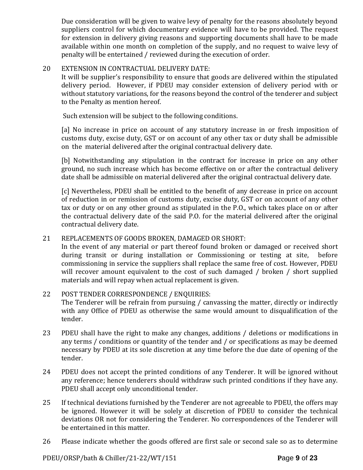Due consideration will be given to waive levy of penalty for the reasons absolutely beyond suppliers control for which documentary evidence will have to be provided. The request for extension in delivery giving reasons and supporting documents shall have to be made available within one month on completion of the supply, and no request to waive levy of penalty will be entertained / reviewed during the execution of order.

# 20 EXTENSION IN CONTRACTUAL DELIVERY DATE:

It will be supplier's responsibility to ensure that goods are delivered within the stipulated delivery period. However, if PDEU may consider extension of delivery period with or without statutory variations, for the reasons beyond the control of the tenderer and subject to the Penalty as mention hereof.

Such extension will be subject to the following conditions.

[a] No increase in price on account of any statutory increase in or fresh imposition of customs duty, excise duty, GST or on account of any other tax or duty shall be admissible on the material delivered after the original contractual delivery date.

[b] Notwithstanding any stipulation in the contract for increase in price on any other ground, no such increase which has become effective on or after the contractual delivery date shall be admissible on material delivered after the original contractual delivery date.

[c] Nevertheless, PDEU shall be entitled to the benefit of any decrease in price on account of reduction in or remission of customs duty, excise duty, GST or on account of any other tax or duty or on any other ground as stipulated in the P.O., which takes place on or after the contractual delivery date of the said P.O. for the material delivered after the original contractual delivery date.

# 21 REPLACEMENTS OF GOODS BROKEN, DAMAGED OR SHORT:

In the event of any material or part thereof found broken or damaged or received short during transit or during installation or Commissioning or testing at site, before commissioning in service the suppliers shall replace the same free of cost. However, PDEU will recover amount equivalent to the cost of such damaged / broken / short supplied materials and will repay when actual replacement is given.

# 22 POST TENDER CORRESPONDENCE / ENQUIRIES:

The Tenderer will be refrain from pursuing / canvassing the matter, directly or indirectly with any Office of PDEU as otherwise the same would amount to disqualification of the tender.

- 23 PDEU shall have the right to make any changes, additions / deletions or modifications in any terms / conditions or quantity of the tender and / or specifications as may be deemed necessary by PDEU at its sole discretion at any time before the due date of opening of the tender.
- 24 PDEU does not accept the printed conditions of any Tenderer. It will be ignored without any reference; hence tenderers should withdraw such printed conditions if they have any. PDEU shall accept only unconditional tender.
- 25 If technical deviations furnished by the Tenderer are not agreeable to PDEU, the offers may be ignored. However it will be solely at discretion of PDEU to consider the technical deviations OR not for considering the Tenderer. No correspondences of the Tenderer will be entertained in this matter.
- 26 Please indicate whether the goods offered are first sale or second sale so as to determine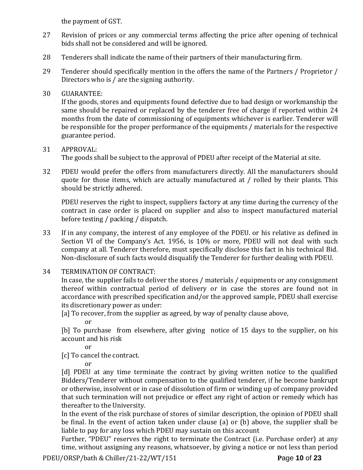the payment of GST.

- 27 Revision of prices or any commercial terms affecting the price after opening of technical bids shall not be considered and will be ignored.
- 28 Tenderers shall indicate the name of their partners of their manufacturing firm.
- 29 Tenderer should specifically mention in the offers the name of the Partners / Proprietor / Directors who is / are the signing authority.

# 30 GUARANTEE:

If the goods, stores and equipments found defective due to bad design or workmanship the same should be repaired or replaced by the tenderer free of charge if reported within 24 months from the date of commissioning of equipments whichever is earlier. Tenderer will be responsible for the proper performance of the equipments / materials for the respective guarantee period.

# 31 APPROVAL:

The goods shall be subject to the approval of PDEU after receipt of the Material at site.

32 PDEU would prefer the offers from manufacturers directly. All the manufacturers should quote for those items, which are actually manufactured at / rolled by their plants. This should be strictly adhered.

PDEU reserves the right to inspect, suppliers factory at any time during the currency of the contract in case order is placed on supplier and also to inspect manufactured material before testing / packing / dispatch.

- 33 If in any company, the interest of any employee of the PDEU. or his relative as defined in Section VI of the Company's Act. 1956, is 10% or more, PDEU will not deal with such company at all. Tenderer therefore, must specifically disclose this fact in his technical Bid. Non-disclosure of such facts would disqualify the Tenderer for further dealing with PDEU.
- 34 TERMINATION OF CONTRACT:

In case, the supplier fails to deliver the stores / materials / equipments or any consignment thereof within contractual period of delivery or in case the stores are found not in accordance with prescribed specification and/or the approved sample, PDEU shall exercise its discretionary power as under:

[a] To recover, from the supplier as agreed, by way of penalty clause above,

or

[b] To purchase from elsewhere, after giving notice of 15 days to the supplier, on his account and his risk

or

[c] To cancel the contract.

or

[d] PDEU at any time terminate the contract by giving written notice to the qualified Bidders/Tenderer without compensation to the qualified tenderer, if he become bankrupt or otherwise, insolvent or in case of dissolution of firm or winding up of company provided that such termination will not prejudice or effect any right of action or remedy which has thereafter to the University.

In the event of the risk purchase of stores of similar description, the opinion of PDEU shall be final. In the event of action taken under clause (a) or (b) above, the supplier shall be liable to pay for any loss which PDEU may sustain on this account

Further, "PDEU" reserves the right to terminate the Contract (i.e. Purchase order) at any time, without assigning any reasons, whatsoever, by giving a notice or not less than period

PDEU/ORSP/bath & Chiller/21-22/WT/151 **P**age **10** of **23**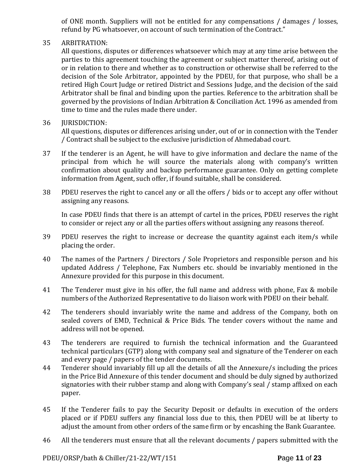of ONE month. Suppliers will not be entitled for any compensations / damages / losses, refund by PG whatsoever, on account of such termination of the Contract."

# 35 ARBITRATION:

All questions, disputes or differences whatsoever which may at any time arise between the parties to this agreement touching the agreement or subject matter thereof, arising out of or in relation to there and whether as to construction or otherwise shall be referred to the decision of the Sole Arbitrator, appointed by the PDEU, for that purpose, who shall be a retired High Court Judge or retired District and Sessions Judge, and the decision of the said Arbitrator shall be final and binding upon the parties. Reference to the arbitration shall be governed by the provisions of Indian Arbitration & Conciliation Act. 1996 as amended from time to time and the rules made there under.

# 36 JURISDICTION:

All questions, disputes or differences arising under, out of or in connection with the Tender / Contract shall be subject to the exclusive jurisdiction of Ahmedabad court.

- 37 If the tenderer is an Agent, he will have to give information and declare the name of the principal from which he will source the materials along with company's written confirmation about quality and backup performance guarantee. Only on getting complete information from Agent, such offer, if found suitable, shall be considered.
- 38 PDEU reserves the right to cancel any or all the offers / bids or to accept any offer without assigning any reasons.

In case PDEU finds that there is an attempt of cartel in the prices, PDEU reserves the right to consider or reject any or all the parties offers without assigning any reasons thereof.

- 39 PDEU reserves the right to increase or decrease the quantity against each item/s while placing the order.
- 40 The names of the Partners / Directors / Sole Proprietors and responsible person and his updated Address / Telephone, Fax Numbers etc. should be invariably mentioned in the Annexure provided for this purpose in this document.
- 41 The Tenderer must give in his offer, the full name and address with phone, Fax & mobile numbers of the Authorized Representative to do liaison work with PDEU on their behalf.
- 42 The tenderers should invariably write the name and address of the Company, both on sealed covers of EMD, Technical & Price Bids. The tender covers without the name and address will not be opened.
- 43 The tenderers are required to furnish the technical information and the Guaranteed technical particulars (GTP) along with company seal and signature of the Tenderer on each and every page / papers of the tender documents.
- 44 Tenderer should invariably fill up all the details of all the Annexure/s including the prices in the Price Bid Annexure of this tender document and should be duly signed by authorized signatories with their rubber stamp and along with Company's seal / stamp affixed on each paper.
- 45 If the Tenderer fails to pay the Security Deposit or defaults in execution of the orders placed or if PDEU suffers any financial loss due to this, then PDEU will be at liberty to adjust the amount from other orders of the same firm or by encashing the Bank Guarantee.
- 46 All the tenderers must ensure that all the relevant documents / papers submitted with the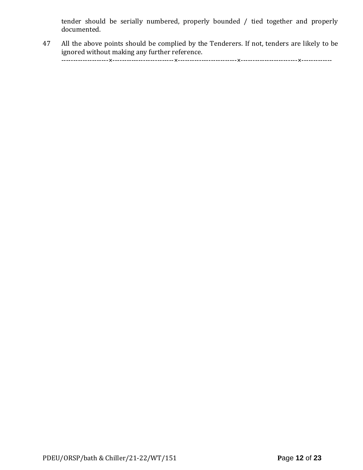tender should be serially numbered, properly bounded / tied together and properly documented.

47 All the above points should be complied by the Tenderers. If not, tenders are likely to be ignored without making any further reference.

--------------------×--------------------------×-------------------------×------------------------×-------------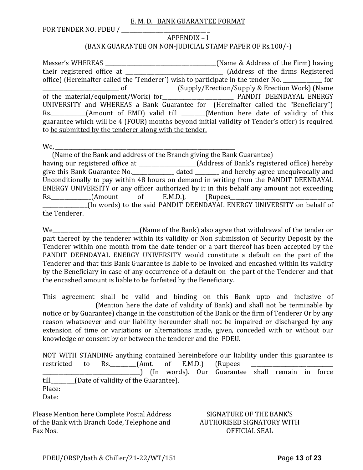#### E. M. D. BANK GUARANTEE FORMAT

FOR TENDER NO. PDEU / \_\_\_\_\_\_\_\_\_\_\_\_\_\_\_\_\_\_\_\_\_\_\_\_\_\_\_\_\_\_\_\_ \_

#### APPENDIX – I (BANK GUARANTEE ON NON-JUDICIAL STAMP PAPER OF Rs.100/-)

Messer's WHEREAS \_\_\_\_\_\_\_\_\_\_\_\_\_\_\_\_\_\_\_\_\_\_\_\_\_\_\_\_\_\_\_\_\_\_\_\_\_\_\_\_\_\_(Name & Address of the Firm) having their registered office at \_\_\_\_\_\_\_\_\_\_\_\_\_\_\_\_\_\_\_\_\_\_\_\_\_\_\_\_\_\_\_\_\_\_\_\_\_ (Address of the firms Registered office) (Hereinafter called the 'Tenderer') wish to participate in the tender No. \_\_\_\_\_\_\_\_\_\_\_\_\_\_\_ for \_\_\_\_\_\_\_\_\_\_\_\_\_\_\_\_\_\_\_\_\_\_\_\_\_\_\_\_\_ of (Supply/Erection/Supply & Erection Work) (Name of the material/equipment/Work) for\_\_\_\_\_\_\_\_\_\_\_\_\_\_\_\_\_\_\_\_\_\_\_\_\_\_\_ PANDIT DEENDAYAL ENERGY UNIVERSITY and WHEREAS a Bank Guarantee for (Hereinafter called the "Beneficiary") Rs. \_\_\_\_\_\_\_\_\_\_(Amount of EMD) valid till \_\_\_\_\_\_(Mention here date of validity of this guarantee which will be 4 (FOUR) months beyond initial validity of Tender's offer) is required to be submitted by the tenderer along with the tender.

We,

 (Name of the Bank and address of the Branch giving the Bank Guarantee) having our registered office at \_\_\_\_\_\_\_\_\_\_\_\_\_\_\_\_\_\_\_\_\_\_(Address of Bank's registered office) hereby give this Bank Guarantee No.\_\_\_\_\_\_\_\_\_\_\_\_\_\_\_\_ dated \_\_\_\_\_\_\_\_\_ and hereby agree unequivocally and Unconditionally to pay within 48 hours on demand in writing from the PANDIT DEENDAYAL ENERGY UNIVERSITY or any officer authorized by it in this behalf any amount not exceeding Rs. (Amount of E.M.D.), (Rupees \_\_\_\_\_\_\_\_\_\_\_\_\_\_\_\_\_(In words) to the said PANDIT DEENDAYAL ENERGY UNIVERSITY on behalf of the Tenderer.

We\_\_\_\_\_\_\_\_\_\_\_\_\_\_\_\_\_\_\_\_\_\_\_\_\_\_\_\_\_\_\_\_\_(Name of the Bank) also agree that withdrawal of the tender or part thereof by the tenderer within its validity or Non submission of Security Deposit by the Tenderer within one month from the date tender or a part thereof has been accepted by the PANDIT DEENDAYAL ENERGY UNIVERSITY would constitute a default on the part of the Tenderer and that this Bank Guarantee is liable to be invoked and encashed within its validity by the Beneficiary in case of any occurrence of a default on the part of the Tenderer and that the encashed amount is liable to be forfeited by the Beneficiary.

This agreement shall be valid and binding on this Bank upto and inclusive of (Mention here the date of validity of Bank) and shall not be terminable by notice or by Guarantee) change in the constitution of the Bank or the firm of Tenderer Or by any reason whatsoever and our liability hereunder shall not be impaired or discharged by any extension of time or variations or alternations made, given, conceded with or without our knowledge or consent by or between the tenderer and the PDEU.

NOT WITH STANDING anything contained hereinbefore our liability under this guarantee is restricted to Rs.  $(Amt. of E.M.D.)$  (Rupees \_\_\_\_\_\_\_\_\_\_\_\_\_\_\_\_\_\_\_\_\_\_\_\_\_\_\_\_\_\_\_\_\_\_\_\_\_) (In words). Our Guarantee shall remain in force till\_\_\_\_\_\_\_\_\_(Date of validity of the Guarantee). Place: Date:

Please Mention here Complete Postal Address of the Bank with Branch Code, Telephone and Fax Nos.

# SIGNATURE OF THE BANK'S AUTHORISED SIGNATORY WITH OFFICIAL SEAL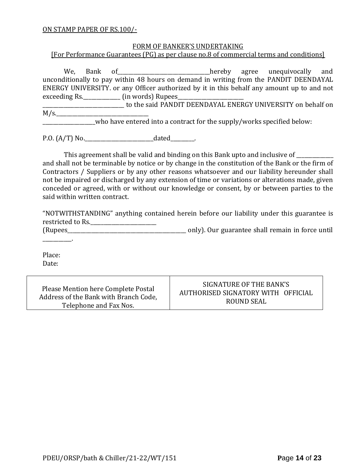#### ON STAMP PAPER OF RS.100/-

#### FORM OF BANKER'S UNDERTAKING

[For Performance Guarantees (PG) as per clause no.8 of commercial terms and conditions]

We, Bank of\_\_\_\_\_\_\_\_\_\_\_\_\_\_\_\_\_\_\_\_\_\_\_\_hereby agree unequivocally and unconditionally to pay within 48 hours on demand in writing from the PANDIT DEENDAYAL ENERGY UNIVERSITY. or any Officer authorized by it in this behalf any amount up to and not exceeding Rs.\_\_\_\_\_\_\_\_\_\_\_\_\_\_\_\_\_\_\_\_\_ (in words) Rupees\_

\_\_\_\_\_\_\_\_\_\_\_\_\_\_\_\_\_\_\_\_\_\_\_\_\_\_\_\_\_\_\_ to the said PANDIT DEENDAYAL ENERGY UNIVERSITY on behalf on  $M/s$ .

who have entered into a contract for the supply/works specified below:

P.O. (A/T) No.\_\_\_\_\_\_\_\_\_\_\_\_\_\_\_\_\_\_\_\_\_\_\_\_\_\_dated\_\_\_\_\_\_\_\_\_.

This agreement shall be valid and binding on this Bank upto and inclusive of \_\_\_\_\_\_\_\_\_\_

and shall not be terminable by notice or by change in the constitution of the Bank or the firm of Contractors / Suppliers or by any other reasons whatsoever and our liability hereunder shall not be impaired or discharged by any extension of time or variations or alterations made, given conceded or agreed, with or without our knowledge or consent, by or between parties to the said within written contract.

"NOTWITHSTANDING" anything contained herein before our liability under this guarantee is restricted to Rs.\_\_\_\_\_\_\_\_\_\_\_\_\_\_\_\_\_\_\_\_\_\_\_\_\_

(Rupees\_\_\_\_\_\_\_\_\_\_\_\_\_\_\_\_\_\_\_\_\_\_\_\_\_\_\_\_\_\_\_\_\_\_\_\_\_\_\_\_\_\_\_\_\_ only). Our guarantee shall remain in force until

Place: Date:

\_\_\_\_\_\_\_\_\_\_\_.

Please Mention here Complete Postal Address of the Bank with Branch Code, Telephone and Fax Nos.

SIGNATURE OF THE BANK'S AUTHORISED SIGNATORY WITH OFFICIAL ROUND SEAL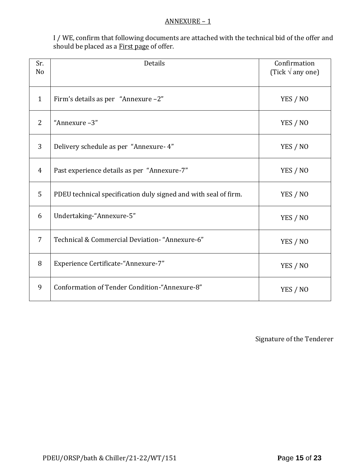#### ANNEXURE – 1

I / WE, confirm that following documents are attached with the technical bid of the offer and should be placed as a **First page** of offer.

| Sr.<br>N <sub>o</sub> | Details                                                         | Confirmation<br>(Tick $\sqrt{ }$ any one) |
|-----------------------|-----------------------------------------------------------------|-------------------------------------------|
| $\mathbf{1}$          | Firm's details as per "Annexure -2"                             | YES / NO                                  |
| 2                     | "Annexure-3"                                                    | YES / NO                                  |
| 3                     | Delivery schedule as per "Annexure- 4"                          | YES / NO                                  |
| $\overline{4}$        | Past experience details as per "Annexure-7"                     | YES / NO                                  |
| 5                     | PDEU technical specification duly signed and with seal of firm. | YES / NO                                  |
| 6                     | Undertaking-"Annexure-5"                                        | YES / NO                                  |
| 7                     | Technical & Commercial Deviation- "Annexure-6"                  | YES / NO                                  |
| 8                     | Experience Certificate-"Annexure-7"                             | YES / NO                                  |
| 9                     | Conformation of Tender Condition-"Annexure-8"                   | YES / NO                                  |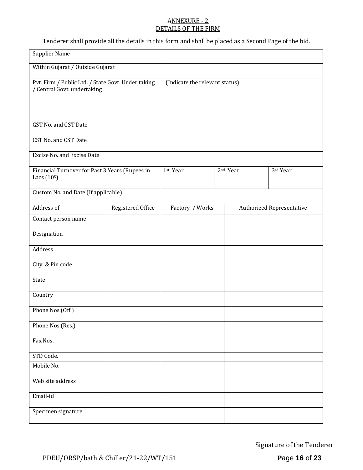#### ANNEXURE - 2 DETAILS OF THE FIRM

Tenderer shall provide all the details in this form and shall be placed as a Second Page of the bid.

| <b>Supplier Name</b>                                                            |                   |                                |  |                      |                                  |
|---------------------------------------------------------------------------------|-------------------|--------------------------------|--|----------------------|----------------------------------|
| Within Gujarat / Outside Gujarat                                                |                   |                                |  |                      |                                  |
| Pvt. Firm / Public Ltd. / State Govt. Under taking<br>Central Govt. undertaking |                   | (Indicate the relevant status) |  |                      |                                  |
|                                                                                 |                   |                                |  |                      |                                  |
| GST No. and GST Date                                                            |                   |                                |  |                      |                                  |
|                                                                                 |                   |                                |  |                      |                                  |
| CST No. and CST Date                                                            |                   |                                |  |                      |                                  |
| Excise No. and Excise Date                                                      |                   |                                |  |                      |                                  |
| Financial Turnover for Past 3 Years (Rupees in<br>Lacs (10 <sup>5</sup> )       |                   | 1st Year                       |  | 2 <sup>nd</sup> Year | 3rd Year                         |
|                                                                                 |                   |                                |  |                      |                                  |
| Custom No. and Date (If applicable)                                             |                   |                                |  |                      |                                  |
| Address of                                                                      | Registered Office | Factory / Works                |  |                      | <b>Authorized Representative</b> |
| Contact person name                                                             |                   |                                |  |                      |                                  |
| Designation                                                                     |                   |                                |  |                      |                                  |
| Address                                                                         |                   |                                |  |                      |                                  |
| City & Pin code                                                                 |                   |                                |  |                      |                                  |
| State                                                                           |                   |                                |  |                      |                                  |
| Country                                                                         |                   |                                |  |                      |                                  |
| Phone Nos.(Off.)                                                                |                   |                                |  |                      |                                  |
| Phone Nos.(Res.)                                                                |                   |                                |  |                      |                                  |
| Fax Nos.                                                                        |                   |                                |  |                      |                                  |
| STD Code.                                                                       |                   |                                |  |                      |                                  |
| Mobile No.                                                                      |                   |                                |  |                      |                                  |
| Web site address                                                                |                   |                                |  |                      |                                  |
| Email-id                                                                        |                   |                                |  |                      |                                  |
| Specimen signature                                                              |                   |                                |  |                      |                                  |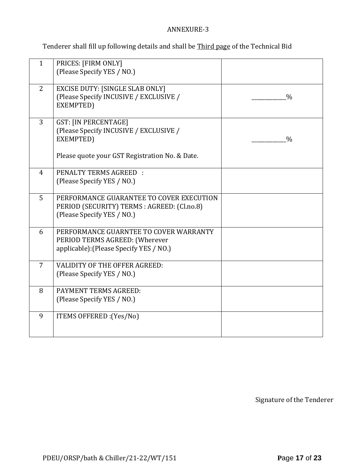# ANNEXURE-3

Tenderer shall fill up following details and shall be Third page of the Technical Bid

| $\mathbf{1}$   | PRICES: [FIRM ONLY]<br>(Please Specify YES / NO.)                                                                                    |               |
|----------------|--------------------------------------------------------------------------------------------------------------------------------------|---------------|
| 2              | <b>EXCISE DUTY: [SINGLE SLAB ONLY]</b><br>(Please Specify INCUSIVE / EXCLUSIVE /<br>EXEMPTED)                                        | $\frac{0}{0}$ |
| $\overline{3}$ | <b>GST: [IN PERCENTAGE]</b><br>(Please Specify INCUSIVE / EXCLUSIVE /<br>EXEMPTED)<br>Please quote your GST Registration No. & Date. | $\frac{0}{0}$ |
| $\overline{4}$ | PENALTY TERMS AGREED :<br>(Please Specify YES / NO.)                                                                                 |               |
| 5              | PERFORMANCE GUARANTEE TO COVER EXECUTION<br>PERIOD (SECURITY) TERMS : AGREED: (Cl.no.8)<br>(Please Specify YES / NO.)                |               |
| 6              | PERFORMANCE GUARNTEE TO COVER WARRANTY<br>PERIOD TERMS AGREED: (Wherever<br>applicable): (Please Specify YES / NO.)                  |               |
| $\overline{7}$ | <b>VALIDITY OF THE OFFER AGREED:</b><br>(Please Specify YES / NO.)                                                                   |               |
| 8              | PAYMENT TERMS AGREED:<br>(Please Specify YES / NO.)                                                                                  |               |
| 9              | ITEMS OFFERED : (Yes/No)                                                                                                             |               |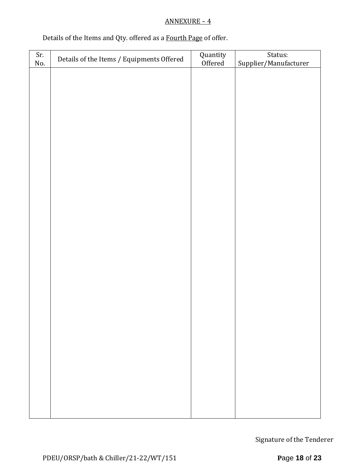# ANNEXURE – 4

# Details of the Items and Qty. offered as a Fourth Page of offer.

| Sr. | Details of the Items / Equipments Offered | Quantity<br>Offered | Status:               |
|-----|-------------------------------------------|---------------------|-----------------------|
| No. |                                           |                     | Supplier/Manufacturer |
|     |                                           |                     |                       |
|     |                                           |                     |                       |
|     |                                           |                     |                       |
|     |                                           |                     |                       |
|     |                                           |                     |                       |
|     |                                           |                     |                       |
|     |                                           |                     |                       |
|     |                                           |                     |                       |
|     |                                           |                     |                       |
|     |                                           |                     |                       |
|     |                                           |                     |                       |
|     |                                           |                     |                       |
|     |                                           |                     |                       |
|     |                                           |                     |                       |
|     |                                           |                     |                       |
|     |                                           |                     |                       |
|     |                                           |                     |                       |
|     |                                           |                     |                       |
|     |                                           |                     |                       |
|     |                                           |                     |                       |
|     |                                           |                     |                       |
|     |                                           |                     |                       |
|     |                                           |                     |                       |
|     |                                           |                     |                       |
|     |                                           |                     |                       |
|     |                                           |                     |                       |
|     |                                           |                     |                       |
|     |                                           |                     |                       |
|     |                                           |                     |                       |
|     |                                           |                     |                       |
|     |                                           |                     |                       |
|     |                                           |                     |                       |
|     |                                           |                     |                       |
|     |                                           |                     |                       |
|     |                                           |                     |                       |
|     |                                           |                     |                       |
|     |                                           |                     |                       |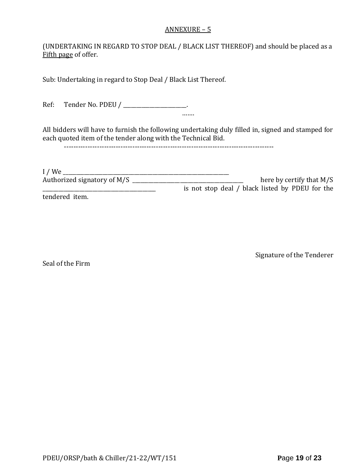#### ANNEXURE – 5

(UNDERTAKING IN REGARD TO STOP DEAL / BLACK LIST THEREOF) and should be placed as a Fifth page of offer.

Sub: Undertaking in regard to Stop Deal / Black List Thereof.

Ref: Tender No. PDEU / \_\_\_\_\_\_\_\_\_\_\_\_\_\_\_\_\_\_\_\_.

All bidders will have to furnish the following undertaking duly filled in, signed and stamped for each quoted item of the tender along with the Technical Bid.

…….

-----------------------------------------------------------------------------------------

I / We \_\_\_\_\_\_\_\_\_\_\_\_\_\_\_\_\_\_\_\_\_\_\_\_\_\_\_\_\_\_\_\_\_\_\_\_\_\_\_\_\_\_\_\_\_\_\_\_\_\_\_\_\_\_\_\_\_\_\_\_\_\_\_ Authorized signatory of M/S \_\_\_\_\_\_\_\_\_\_\_\_\_\_\_\_\_\_\_\_\_\_\_\_\_\_\_\_\_\_\_\_\_\_\_\_\_\_\_\_\_\_ here by certify that M/S \_\_\_\_\_\_\_\_\_\_\_\_\_\_\_\_\_\_\_\_\_\_\_\_\_\_\_\_\_\_\_\_\_\_\_\_\_\_\_\_\_\_\_ is not stop deal / black listed by PDEU for the tendered item.

Seal of the Firm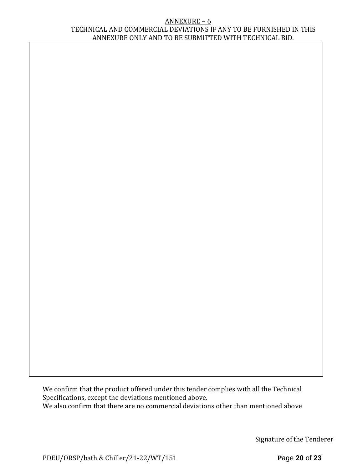#### ANNEXURE – 6 TECHNICAL AND COMMERCIAL DEVIATIONS IF ANY TO BE FURNISHED IN THIS ANNEXURE ONLY AND TO BE SUBMITTED WITH TECHNICAL BID.

We confirm that the product offered under this tender complies with all the Technical Specifications, except the deviations mentioned above. We also confirm that there are no commercial deviations other than mentioned above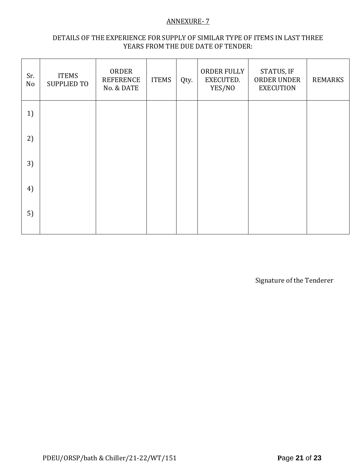# ANNEXURE- 7

# DETAILS OF THE EXPERIENCE FOR SUPPLY OF SIMILAR TYPE OF ITEMS IN LAST THREE YEARS FROM THE DUE DATE OF TENDER:

| Sr.<br>No | <b>ITEMS</b><br><b>SUPPLIED TO</b> | ORDER<br><b>REFERENCE</b><br>No. & DATE | <b>ITEMS</b> | Qty. | ORDER FULLY<br>EXECUTED.<br>YES/NO | STATUS, IF<br>ORDER UNDER<br><b>EXECUTION</b> | <b>REMARKS</b> |
|-----------|------------------------------------|-----------------------------------------|--------------|------|------------------------------------|-----------------------------------------------|----------------|
| 1)        |                                    |                                         |              |      |                                    |                                               |                |
| 2)        |                                    |                                         |              |      |                                    |                                               |                |
| 3)        |                                    |                                         |              |      |                                    |                                               |                |
| 4)        |                                    |                                         |              |      |                                    |                                               |                |
| 5)        |                                    |                                         |              |      |                                    |                                               |                |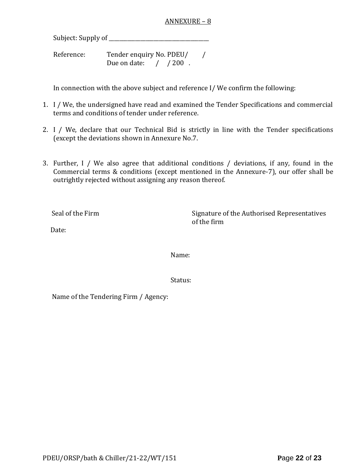#### ANNEXURE – 8

Subject: Supply of \_\_\_\_\_\_\_\_\_\_\_\_\_\_\_\_\_\_\_\_\_\_\_\_\_\_\_\_\_\_\_\_\_\_\_\_\_\_

Reference: Tender enquiry No. PDEU/ / Due on date: / / 200.

In connection with the above subject and reference I/ We confirm the following:

- 1. I / We, the undersigned have read and examined the Tender Specifications and commercial terms and conditions of tender under reference.
- 2. I / We, declare that our Technical Bid is strictly in line with the Tender specifications (except the deviations shown in Annexure No.7.
- 3. Further, I / We also agree that additional conditions / deviations, if any, found in the Commercial terms & conditions (except mentioned in the Annexure-7), our offer shall be outrightly rejected without assigning any reason thereof.

Seal of the Firm Signature of the Authorised Representatives of the firm

Date:

Name:

Status:

Name of the Tendering Firm / Agency: